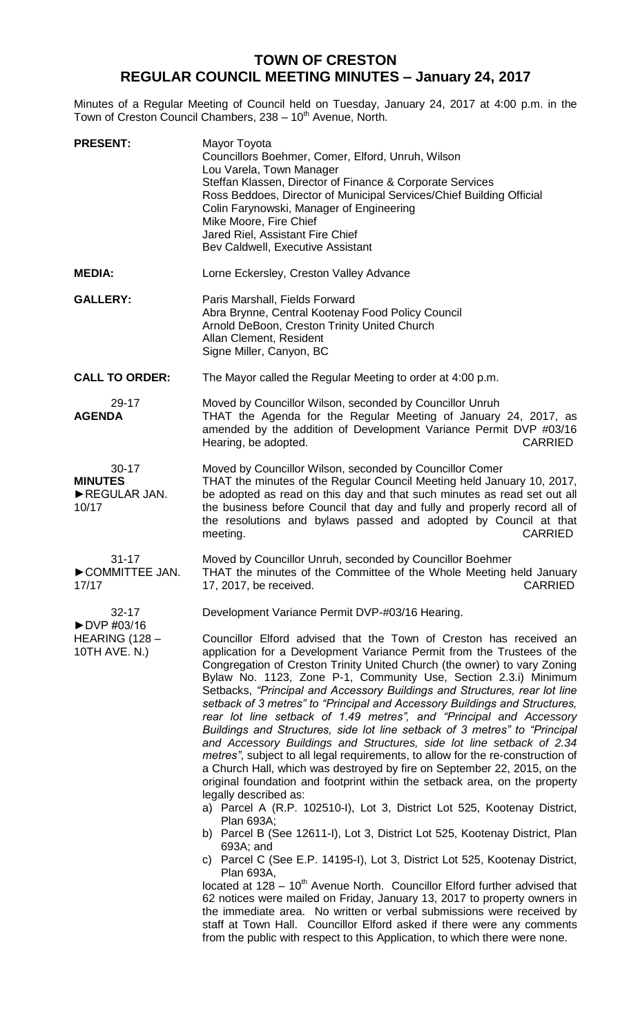## **TOWN OF CRESTON REGULAR COUNCIL MEETING MINUTES – January 24, 2017**

Minutes of a Regular Meeting of Council held on Tuesday, January 24, 2017 at 4:00 p.m. in the Town of Creston Council Chambers, 238 - 10<sup>th</sup> Avenue, North.

| <b>PRESENT:</b>                                       | Mayor Toyota<br>Councillors Boehmer, Comer, Elford, Unruh, Wilson<br>Lou Varela, Town Manager<br>Steffan Klassen, Director of Finance & Corporate Services<br>Ross Beddoes, Director of Municipal Services/Chief Building Official<br>Colin Farynowski, Manager of Engineering<br>Mike Moore, Fire Chief<br>Jared Riel, Assistant Fire Chief<br>Bev Caldwell, Executive Assistant                                                                                                                                                                                                                                                                                                                                                                                                                                                                                                                                                                                                                                                                            |
|-------------------------------------------------------|--------------------------------------------------------------------------------------------------------------------------------------------------------------------------------------------------------------------------------------------------------------------------------------------------------------------------------------------------------------------------------------------------------------------------------------------------------------------------------------------------------------------------------------------------------------------------------------------------------------------------------------------------------------------------------------------------------------------------------------------------------------------------------------------------------------------------------------------------------------------------------------------------------------------------------------------------------------------------------------------------------------------------------------------------------------|
| <b>MEDIA:</b>                                         | Lorne Eckersley, Creston Valley Advance                                                                                                                                                                                                                                                                                                                                                                                                                                                                                                                                                                                                                                                                                                                                                                                                                                                                                                                                                                                                                      |
| <b>GALLERY:</b>                                       | Paris Marshall, Fields Forward<br>Abra Brynne, Central Kootenay Food Policy Council<br>Arnold DeBoon, Creston Trinity United Church<br>Allan Clement, Resident<br>Signe Miller, Canyon, BC                                                                                                                                                                                                                                                                                                                                                                                                                                                                                                                                                                                                                                                                                                                                                                                                                                                                   |
| <b>CALL TO ORDER:</b>                                 | The Mayor called the Regular Meeting to order at 4:00 p.m.                                                                                                                                                                                                                                                                                                                                                                                                                                                                                                                                                                                                                                                                                                                                                                                                                                                                                                                                                                                                   |
| 29-17<br><b>AGENDA</b>                                | Moved by Councillor Wilson, seconded by Councillor Unruh<br>THAT the Agenda for the Regular Meeting of January 24, 2017, as<br>amended by the addition of Development Variance Permit DVP #03/16<br>Hearing, be adopted.<br><b>CARRIED</b>                                                                                                                                                                                                                                                                                                                                                                                                                                                                                                                                                                                                                                                                                                                                                                                                                   |
| $30 - 17$<br><b>MINUTES</b><br>REGULAR JAN.<br>10/17  | Moved by Councillor Wilson, seconded by Councillor Comer<br>THAT the minutes of the Regular Council Meeting held January 10, 2017,<br>be adopted as read on this day and that such minutes as read set out all<br>the business before Council that day and fully and properly record all of<br>the resolutions and bylaws passed and adopted by Council at that<br><b>CARRIED</b><br>meeting.                                                                                                                                                                                                                                                                                                                                                                                                                                                                                                                                                                                                                                                                |
| $31 - 17$<br>COMMITTEE JAN.<br>17/17                  | Moved by Councillor Unruh, seconded by Councillor Boehmer<br>THAT the minutes of the Committee of the Whole Meeting held January<br>17, 2017, be received.<br>CARRIED                                                                                                                                                                                                                                                                                                                                                                                                                                                                                                                                                                                                                                                                                                                                                                                                                                                                                        |
| $32 - 17$                                             | Development Variance Permit DVP-#03/16 Hearing.                                                                                                                                                                                                                                                                                                                                                                                                                                                                                                                                                                                                                                                                                                                                                                                                                                                                                                                                                                                                              |
| ▶DVP #03/16<br><b>HEARING (128 -</b><br>10TH AVE. N.) | Councillor Elford advised that the Town of Creston has received an<br>application for a Development Variance Permit from the Trustees of the<br>Congregation of Creston Trinity United Church (the owner) to vary Zoning<br>Bylaw No. 1123, Zone P-1, Community Use, Section 2.3.i) Minimum<br>Setbacks, "Principal and Accessory Buildings and Structures, rear lot line<br>setback of 3 metres" to "Principal and Accessory Buildings and Structures,<br>rear lot line setback of 1.49 metres", and "Principal and Accessory<br>Buildings and Structures, side lot line setback of 3 metres" to "Principal<br>and Accessory Buildings and Structures, side lot line setback of 2.34<br>metres", subject to all legal requirements, to allow for the re-construction of<br>a Church Hall, which was destroyed by fire on September 22, 2015, on the<br>original foundation and footprint within the setback area, on the property<br>legally described as:<br>a) Parcel A (R.P. 102510-I), Lot 3, District Lot 525, Kootenay District,<br><b>Plan 693A;</b> |
|                                                       | b) Parcel B (See 12611-I), Lot 3, District Lot 525, Kootenay District, Plan<br>693A; and                                                                                                                                                                                                                                                                                                                                                                                                                                                                                                                                                                                                                                                                                                                                                                                                                                                                                                                                                                     |
|                                                       | c) Parcel C (See E.P. 14195-I), Lot 3, District Lot 525, Kootenay District,<br>Plan 693A,                                                                                                                                                                                                                                                                                                                                                                                                                                                                                                                                                                                                                                                                                                                                                                                                                                                                                                                                                                    |
|                                                       | located at 128 - 10 <sup>th</sup> Avenue North. Councillor Elford further advised that<br>62 notices were mailed on Friday, January 13, 2017 to property owners in<br>the immediate area. No written or verbal submissions were received by<br>staff at Town Hall. Councillor Elford asked if there were any comments<br>from the public with respect to this Application, to which there were none.                                                                                                                                                                                                                                                                                                                                                                                                                                                                                                                                                                                                                                                         |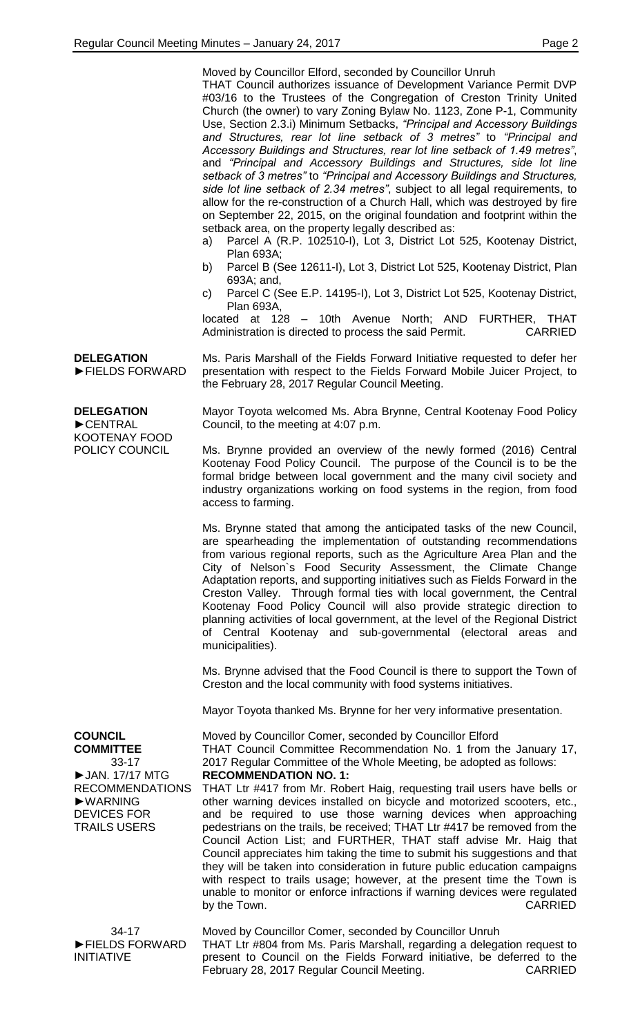|                                                                                                                                                        | Moved by Councillor Elford, seconded by Councillor Unruh<br>THAT Council authorizes issuance of Development Variance Permit DVP<br>#03/16 to the Trustees of the Congregation of Creston Trinity United<br>Church (the owner) to vary Zoning Bylaw No. 1123, Zone P-1, Community<br>Use, Section 2.3.i) Minimum Setbacks, "Principal and Accessory Buildings<br>and Structures, rear lot line setback of 3 metres" to "Principal and<br>Accessory Buildings and Structures, rear lot line setback of 1.49 metres",<br>and "Principal and Accessory Buildings and Structures, side lot line<br>setback of 3 metres" to "Principal and Accessory Buildings and Structures,<br>side lot line setback of 2.34 metres", subject to all legal requirements, to<br>allow for the re-construction of a Church Hall, which was destroyed by fire<br>on September 22, 2015, on the original foundation and footprint within the<br>setback area, on the property legally described as:<br>Parcel A (R.P. 102510-I), Lot 3, District Lot 525, Kootenay District,<br>a)<br>Plan 693A;<br>Parcel B (See 12611-I), Lot 3, District Lot 525, Kootenay District, Plan<br>b)<br>693A; and,<br>Parcel C (See E.P. 14195-I), Lot 3, District Lot 525, Kootenay District,<br>C)<br>Plan 693A,<br>located at 128 - 10th Avenue North; AND FURTHER, THAT<br><b>CARRIED</b><br>Administration is directed to process the said Permit. |
|--------------------------------------------------------------------------------------------------------------------------------------------------------|----------------------------------------------------------------------------------------------------------------------------------------------------------------------------------------------------------------------------------------------------------------------------------------------------------------------------------------------------------------------------------------------------------------------------------------------------------------------------------------------------------------------------------------------------------------------------------------------------------------------------------------------------------------------------------------------------------------------------------------------------------------------------------------------------------------------------------------------------------------------------------------------------------------------------------------------------------------------------------------------------------------------------------------------------------------------------------------------------------------------------------------------------------------------------------------------------------------------------------------------------------------------------------------------------------------------------------------------------------------------------------------------------------------|
| <b>DELEGATION</b><br>FIELDS FORWARD                                                                                                                    | Ms. Paris Marshall of the Fields Forward Initiative requested to defer her<br>presentation with respect to the Fields Forward Mobile Juicer Project, to<br>the February 28, 2017 Regular Council Meeting.                                                                                                                                                                                                                                                                                                                                                                                                                                                                                                                                                                                                                                                                                                                                                                                                                                                                                                                                                                                                                                                                                                                                                                                                      |
| <b>DELEGATION</b><br>CENTRAL<br><b>KOOTENAY FOOD</b><br>POLICY COUNCIL                                                                                 | Mayor Toyota welcomed Ms. Abra Brynne, Central Kootenay Food Policy<br>Council, to the meeting at 4:07 p.m.<br>Ms. Brynne provided an overview of the newly formed (2016) Central<br>Kootenay Food Policy Council. The purpose of the Council is to be the<br>formal bridge between local government and the many civil society and                                                                                                                                                                                                                                                                                                                                                                                                                                                                                                                                                                                                                                                                                                                                                                                                                                                                                                                                                                                                                                                                            |
|                                                                                                                                                        | industry organizations working on food systems in the region, from food<br>access to farming.<br>Ms. Brynne stated that among the anticipated tasks of the new Council,<br>are spearheading the implementation of outstanding recommendations<br>from various regional reports, such as the Agriculture Area Plan and the<br>City of Nelson's Food Security Assessment, the Climate Change<br>Adaptation reports, and supporting initiatives such as Fields Forward in the<br>Creston Valley. Through formal ties with local government, the Central<br>Kootenay Food Policy Council will also provide strategic direction to<br>planning activities of local government, at the level of the Regional District<br>of Central Kootenay and sub-governmental (electoral areas and<br>municipalities).<br>Ms. Brynne advised that the Food Council is there to support the Town of<br>Creston and the local community with food systems initiatives.                                                                                                                                                                                                                                                                                                                                                                                                                                                             |
|                                                                                                                                                        | Mayor Toyota thanked Ms. Brynne for her very informative presentation.                                                                                                                                                                                                                                                                                                                                                                                                                                                                                                                                                                                                                                                                                                                                                                                                                                                                                                                                                                                                                                                                                                                                                                                                                                                                                                                                         |
| <b>COUNCIL</b><br><b>COMMITTEE</b><br>$33 - 17$<br>▶ JAN. 17/17 MTG<br><b>RECOMMENDATIONS</b><br>▶WARNING<br><b>DEVICES FOR</b><br><b>TRAILS USERS</b> | Moved by Councillor Comer, seconded by Councillor Elford<br>THAT Council Committee Recommendation No. 1 from the January 17,<br>2017 Regular Committee of the Whole Meeting, be adopted as follows:<br><b>RECOMMENDATION NO. 1:</b><br>THAT Ltr #417 from Mr. Robert Haig, requesting trail users have bells or<br>other warning devices installed on bicycle and motorized scooters, etc.,<br>and be required to use those warning devices when approaching<br>pedestrians on the trails, be received; THAT Ltr #417 be removed from the<br>Council Action List; and FURTHER, THAT staff advise Mr. Haig that<br>Council appreciates him taking the time to submit his suggestions and that<br>they will be taken into consideration in future public education campaigns<br>with respect to trails usage; however, at the present time the Town is<br>unable to monitor or enforce infractions if warning devices were regulated<br><b>CARRIED</b><br>by the Town.                                                                                                                                                                                                                                                                                                                                                                                                                                           |
| 34-17<br>FIELDS FORWARD                                                                                                                                | Moved by Councillor Comer, seconded by Councillor Unruh<br>THAT Ltr #804 from Ms. Paris Marshall, regarding a delegation request to                                                                                                                                                                                                                                                                                                                                                                                                                                                                                                                                                                                                                                                                                                                                                                                                                                                                                                                                                                                                                                                                                                                                                                                                                                                                            |

INITIATIVE

THAT Ltr #804 from Ms. Paris Marshall, regarding a delegation request to present to Council on the Fields Forward initiative, be deferred to the February 28, 2017 Regular Council Meeting. CARRIED